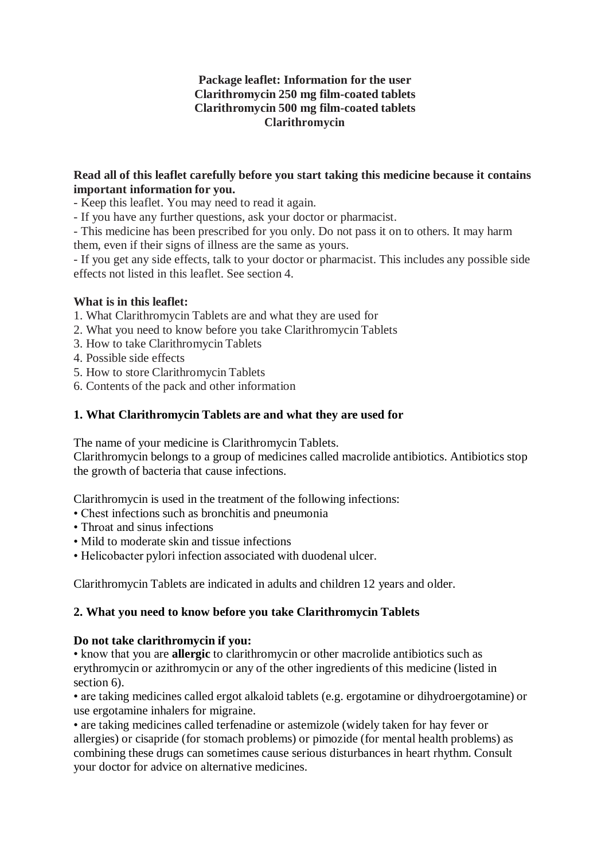### **Package leaflet: Information for the user Clarithromycin 250 mg film-coated tablets Clarithromycin 500 mg film-coated tablets Clarithromycin**

#### **Read all of this leaflet carefully before you start taking this medicine because it contains important information for you.**

- Keep this leaflet. You may need to read it again.

- If you have any further questions, ask your doctor or pharmacist.

- This medicine has been prescribed for you only. Do not pass it on to others. It may harm them, even if their signs of illness are the same as yours.

- If you get any side effects, talk to your doctor or pharmacist. This includes any possible side effects not listed in this leaflet. See section 4.

# **What is in this leaflet:**

- 1. What Clarithromycin Tablets are and what they are used for
- 2. What you need to know before you take Clarithromycin Tablets
- 3. How to take Clarithromycin Tablets
- 4. Possible side effects
- 5. How to store Clarithromycin Tablets
- 6. Contents of the pack and other information

#### **1. What Clarithromycin Tablets are and what they are used for**

The name of your medicine is Clarithromycin Tablets.

Clarithromycin belongs to a group of medicines called macrolide antibiotics. Antibiotics stop the growth of bacteria that cause infections.

Clarithromycin is used in the treatment of the following infections:

- Chest infections such as bronchitis and pneumonia
- Throat and sinus infections
- Mild to moderate skin and tissue infections
- Helicobacter pylori infection associated with duodenal ulcer.

Clarithromycin Tablets are indicated in adults and children 12 years and older.

# **2. What you need to know before you take Clarithromycin Tablets**

#### **Do not take clarithromycin if you:**

• know that you are **allergic** to clarithromycin or other macrolide antibiotics such as erythromycin or azithromycin or any of the other ingredients of this medicine (listed in section 6).

• are taking medicines called ergot alkaloid tablets (e.g. ergotamine or dihydroergotamine) or use ergotamine inhalers for migraine.

• are taking medicines called terfenadine or astemizole (widely taken for hay fever or allergies) or cisapride (for stomach problems) or pimozide (for mental health problems) as combining these drugs can sometimes cause serious disturbances in heart rhythm. Consult your doctor for advice on alternative medicines.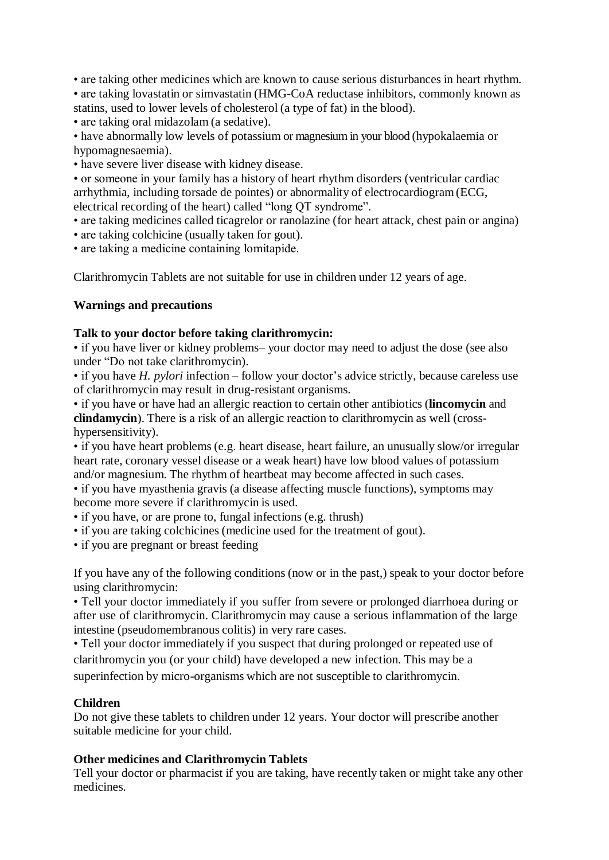• are taking other medicines which are known to cause serious disturbances in heart rhythm. • are taking lovastatin or simvastatin (HMG-CoA reductase inhibitors, commonly known as statins, used to lower levels of cholesterol (a type of fat) in the blood).

• are taking oral midazolam (a sedative).

• have abnormally low levels of potassium or magnesium in your blood (hypokalaemia or hypomagnesaemia).

• have severe liver disease with kidney disease.

• or someone in your family has a history of heart rhythm disorders (ventricular cardiac arrhythmia, including torsade de pointes) or abnormality of electrocardiogram(ECG, electrical recording of the heart) called "long QT syndrome".

• are taking medicines called ticagrelor or ranolazine (for heart attack, chest pain or angina)

• are taking colchicine (usually taken for gout).

• are taking a medicine containing lomitapide.

Clarithromycin Tablets are not suitable for use in children under 12 years of age.

# **Warnings and precautions**

#### **Talk to your doctor before taking clarithromycin:**

• if you have liver or kidney problems– your doctor may need to adjust the dose (see also under "Do not take clarithromycin).

• if you have *H. pylori* infection – follow your doctor's advice strictly, because careless use of clarithromycin may result in drug-resistant organisms.

• if you have or have had an allergic reaction to certain other antibiotics (**lincomycin** and **clindamycin**). There is a risk of an allergic reaction to clarithromycin as well (crosshypersensitivity).

• if you have heart problems (e.g. heart disease, heart failure, an unusually slow/or irregular heart rate, coronary vessel disease or a weak heart) have low blood values of potassium and/or magnesium. The rhythm of heartbeat may become affected in such cases.

• if you have myasthenia gravis (a disease affecting muscle functions), symptoms may become more severe if clarithromycin is used.

- if you have, or are prone to, fungal infections (e.g. thrush)
- if you are taking colchicines (medicine used for the treatment of gout).
- if you are pregnant or breast feeding

If you have any of the following conditions (now or in the past,) speak to your doctor before using clarithromycin:

• Tell your doctor immediately if you suffer from severe or prolonged diarrhoea during or after use of clarithromycin. Clarithromycin may cause a serious inflammation of the large intestine (pseudomembranous colitis) in very rare cases.

• Tell your doctor immediately if you suspect that during prolonged or repeated use of clarithromycin you (or your child) have developed a new infection. This may be a superinfection by micro-organisms which are not susceptible to clarithromycin.

#### **Children**

Do not give these tablets to children under 12 years. Your doctor will prescribe another suitable medicine for your child.

# **Other medicines and Clarithromycin Tablets**

Tell your doctor or pharmacist if you are taking, have recently taken or might take any other medicines.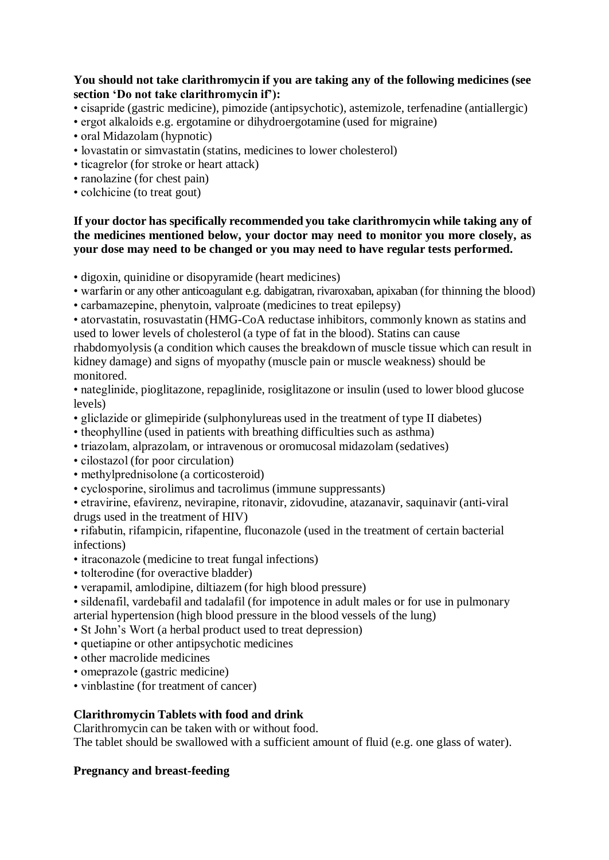### **You should not take clarithromycin if you are taking any of the following medicines (see section 'Do not take clarithromycin if'):**

- cisapride (gastric medicine), pimozide (antipsychotic), astemizole, terfenadine (antiallergic)
- ergot alkaloids e.g. ergotamine or dihydroergotamine (used for migraine)
- oral Midazolam (hypnotic)
- lovastatin or simvastatin (statins, medicines to lower cholesterol)
- ticagrelor (for stroke or heart attack)
- ranolazine (for chest pain)
- colchicine (to treat gout)

#### **If your doctor has specifically recommended you take clarithromycin while taking any of the medicines mentioned below, your doctor may need to monitor you more closely, as your dose may need to be changed or you may need to have regular tests performed.**

• digoxin, quinidine or disopyramide (heart medicines)

• warfarin or any other anticoagulant e.g. dabigatran, rivaroxaban, apixaban (for thinning the blood)

• carbamazepine, phenytoin, valproate (medicines to treat epilepsy)

• atorvastatin, rosuvastatin (HMG-CoA reductase inhibitors, commonly known as statins and used to lower levels of cholesterol (a type of fat in the blood). Statins can cause

rhabdomyolysis (a condition which causes the breakdown of muscle tissue which can result in kidney damage) and signs of myopathy (muscle pain or muscle weakness) should be monitored.

- nateglinide, pioglitazone, repaglinide, rosiglitazone or insulin (used to lower blood glucose levels)
- gliclazide or glimepiride (sulphonylureas used in the treatment of type II diabetes)
- theophylline (used in patients with breathing difficulties such as asthma)
- triazolam, alprazolam, or intravenous or oromucosal midazolam (sedatives)
- cilostazol (for poor circulation)
- methylprednisolone (a corticosteroid)
- cyclosporine, sirolimus and tacrolimus (immune suppressants)

• etravirine, efavirenz, nevirapine, ritonavir, zidovudine, atazanavir, saquinavir (anti-viral drugs used in the treatment of HIV)

• rifabutin, rifampicin, rifapentine, fluconazole (used in the treatment of certain bacterial infections)

- itraconazole (medicine to treat fungal infections)
- tolterodine (for overactive bladder)
- verapamil, amlodipine, diltiazem (for high blood pressure)

• sildenafil, vardebafil and tadalafil (for impotence in adult males or for use in pulmonary arterial hypertension (high blood pressure in the blood vessels of the lung)

- St John's Wort (a herbal product used to treat depression)
- quetiapine or other antipsychotic medicines
- other macrolide medicines
- omeprazole (gastric medicine)
- vinblastine (for treatment of cancer)

# **Clarithromycin Tablets with food and drink**

Clarithromycin can be taken with or without food.

The tablet should be swallowed with a sufficient amount of fluid (e.g. one glass of water).

# **Pregnancy and breast-feeding**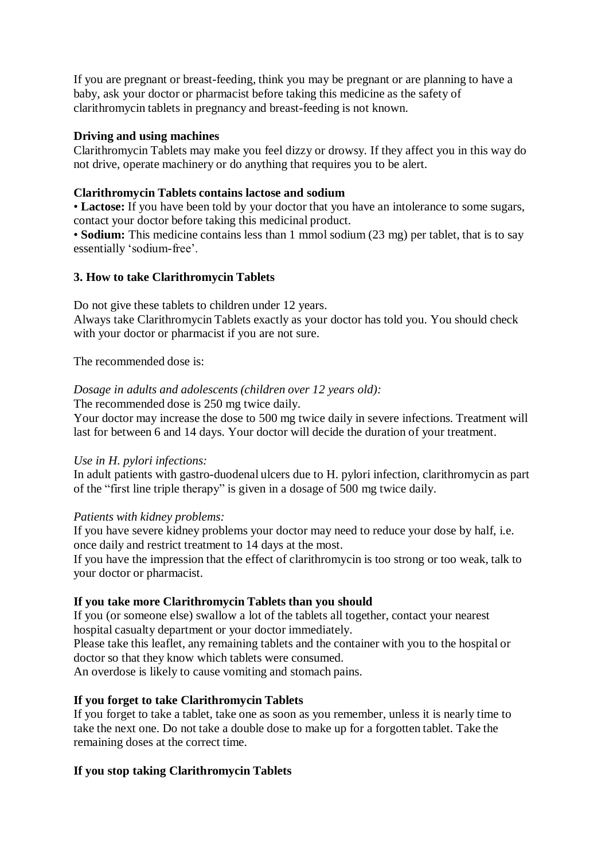If you are pregnant or breast-feeding, think you may be pregnant or are planning to have a baby, ask your doctor or pharmacist before taking this medicine as the safety of clarithromycin tablets in pregnancy and breast-feeding is not known.

# **Driving and using machines**

Clarithromycin Tablets may make you feel dizzy or drowsy. If they affect you in this way do not drive, operate machinery or do anything that requires you to be alert.

### **Clarithromycin Tablets contains lactose and sodium**

• **Lactose:** If you have been told by your doctor that you have an intolerance to some sugars, contact your doctor before taking this medicinal product.

• **Sodium:** This medicine contains less than 1 mmol sodium (23 mg) per tablet, that is to say essentially 'sodium-free'.

#### **3. How to take Clarithromycin Tablets**

Do not give these tablets to children under 12 years.

Always take Clarithromycin Tablets exactly as your doctor has told you. You should check with your doctor or pharmacist if you are not sure.

The recommended dose is:

#### *Dosage in adults and adolescents (children over 12 years old):*

The recommended dose is 250 mg twice daily.

Your doctor may increase the dose to 500 mg twice daily in severe infections. Treatment will last for between 6 and 14 days. Your doctor will decide the duration of your treatment.

# *Use in H. pylori infections:*

In adult patients with gastro-duodenal ulcers due to H. pylori infection, clarithromycin as part of the "first line triple therapy" is given in a dosage of 500 mg twice daily.

#### *Patients with kidney problems:*

If you have severe kidney problems your doctor may need to reduce your dose by half, i.e. once daily and restrict treatment to 14 days at the most.

If you have the impression that the effect of clarithromycin is too strong or too weak, talk to your doctor or pharmacist.

# **If you take more Clarithromycin Tablets than you should**

If you (or someone else) swallow a lot of the tablets all together, contact your nearest hospital casualty department or your doctor immediately.

Please take this leaflet, any remaining tablets and the container with you to the hospital or doctor so that they know which tablets were consumed.

An overdose is likely to cause vomiting and stomach pains.

# **If you forget to take Clarithromycin Tablets**

If you forget to take a tablet, take one as soon as you remember, unless it is nearly time to take the next one. Do not take a double dose to make up for a forgotten tablet. Take the remaining doses at the correct time.

# **If you stop taking Clarithromycin Tablets**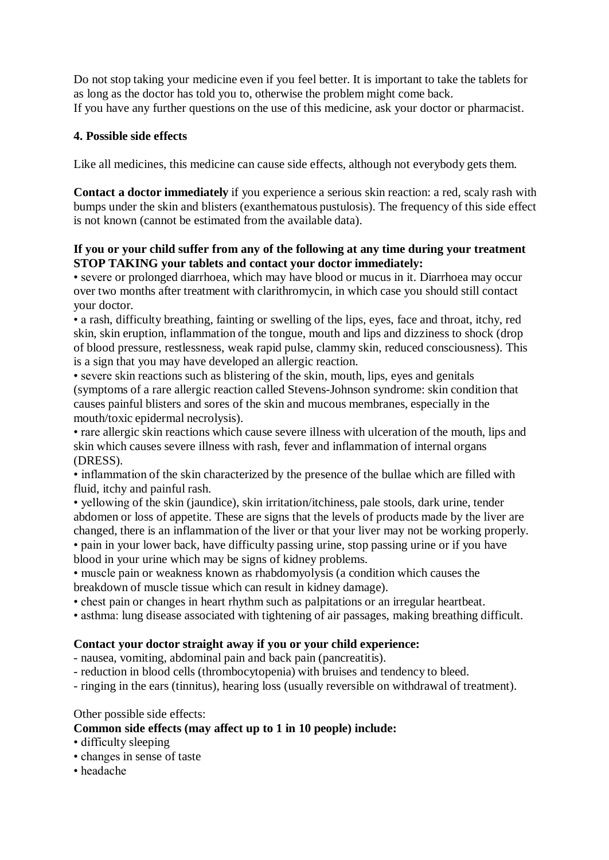Do not stop taking your medicine even if you feel better. It is important to take the tablets for as long as the doctor has told you to, otherwise the problem might come back. If you have any further questions on the use of this medicine, ask your doctor or pharmacist.

# **4. Possible side effects**

Like all medicines, this medicine can cause side effects, although not everybody gets them.

**Contact a doctor immediately** if you experience a serious skin reaction: a red, scaly rash with bumps under the skin and blisters (exanthematous pustulosis). The frequency of this side effect is not known (cannot be estimated from the available data).

# **If you or your child suffer from any of the following at any time during your treatment STOP TAKING your tablets and contact your doctor immediately:**

• severe or prolonged diarrhoea, which may have blood or mucus in it. Diarrhoea may occur over two months after treatment with clarithromycin, in which case you should still contact your doctor.

• a rash, difficulty breathing, fainting or swelling of the lips, eyes, face and throat, itchy, red skin, skin eruption, inflammation of the tongue, mouth and lips and dizziness to shock (drop of blood pressure, restlessness, weak rapid pulse, clammy skin, reduced consciousness). This is a sign that you may have developed an allergic reaction.

• severe skin reactions such as blistering of the skin, mouth, lips, eyes and genitals (symptoms of a rare allergic reaction called Stevens-Johnson syndrome: skin condition that causes painful blisters and sores of the skin and mucous membranes, especially in the mouth/toxic epidermal necrolysis).

• rare allergic skin reactions which cause severe illness with ulceration of the mouth, lips and skin which causes severe illness with rash, fever and inflammation of internal organs (DRESS).

• inflammation of the skin characterized by the presence of the bullae which are filled with fluid, itchy and painful rash.

• yellowing of the skin (jaundice), skin irritation/itchiness, pale stools, dark urine, tender abdomen or loss of appetite. These are signs that the levels of products made by the liver are changed, there is an inflammation of the liver or that your liver may not be working properly. • pain in your lower back, have difficulty passing urine, stop passing urine or if you have blood in your urine which may be signs of kidney problems.

• muscle pain or weakness known as rhabdomyolysis (a condition which causes the breakdown of muscle tissue which can result in kidney damage).

• chest pain or changes in heart rhythm such as palpitations or an irregular heartbeat.

• asthma: lung disease associated with tightening of air passages, making breathing difficult.

# **Contact your doctor straight away if you or your child experience:**

- nausea, vomiting, abdominal pain and back pain (pancreatitis).

- reduction in blood cells (thrombocytopenia) with bruises and tendency to bleed.

- ringing in the ears (tinnitus), hearing loss (usually reversible on withdrawal of treatment).

Other possible side effects:

# **Common side effects (may affect up to 1 in 10 people) include:**

- difficulty sleeping
- changes in sense of taste
- headache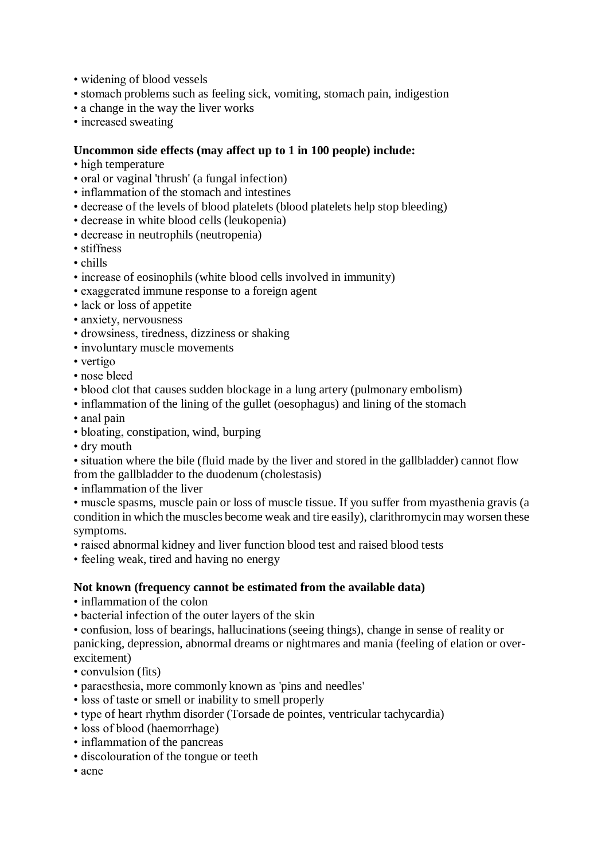- widening of blood vessels
- stomach problems such as feeling sick, vomiting, stomach pain, indigestion
- a change in the way the liver works
- increased sweating

#### **Uncommon side effects (may affect up to 1 in 100 people) include:**

- high temperature
- oral or vaginal 'thrush' (a fungal infection)
- inflammation of the stomach and intestines
- decrease of the levels of blood platelets (blood platelets help stop bleeding)
- decrease in white blood cells (leukopenia)
- decrease in neutrophils (neutropenia)
- stiffness
- chills
- increase of eosinophils (white blood cells involved in immunity)
- exaggerated immune response to a foreign agent
- lack or loss of appetite
- anxiety, nervousness
- drowsiness, tiredness, dizziness or shaking
- involuntary muscle movements
- vertigo
- nose bleed
- blood clot that causes sudden blockage in a lung artery (pulmonary embolism)
- inflammation of the lining of the gullet (oesophagus) and lining of the stomach
- anal pain
- bloating, constipation, wind, burping
- dry mouth

• situation where the bile (fluid made by the liver and stored in the gallbladder) cannot flow from the gallbladder to the duodenum (cholestasis)

• inflammation of the liver

• muscle spasms, muscle pain or loss of muscle tissue. If you suffer from myasthenia gravis (a condition in which the muscles become weak and tire easily), clarithromycin may worsen these symptoms.

• raised abnormal kidney and liver function blood test and raised blood tests

• feeling weak, tired and having no energy

#### **Not known (frequency cannot be estimated from the available data)**

- inflammation of the colon
- bacterial infection of the outer layers of the skin

• confusion, loss of bearings, hallucinations (seeing things), change in sense of reality or panicking, depression, abnormal dreams or nightmares and mania (feeling of elation or overexcitement)

- convulsion (fits)
- paraesthesia, more commonly known as 'pins and needles'
- loss of taste or smell or inability to smell properly
- type of heart rhythm disorder (Torsade de pointes, ventricular tachycardia)
- loss of blood (haemorrhage)
- inflammation of the pancreas
- discolouration of the tongue or teeth
- acne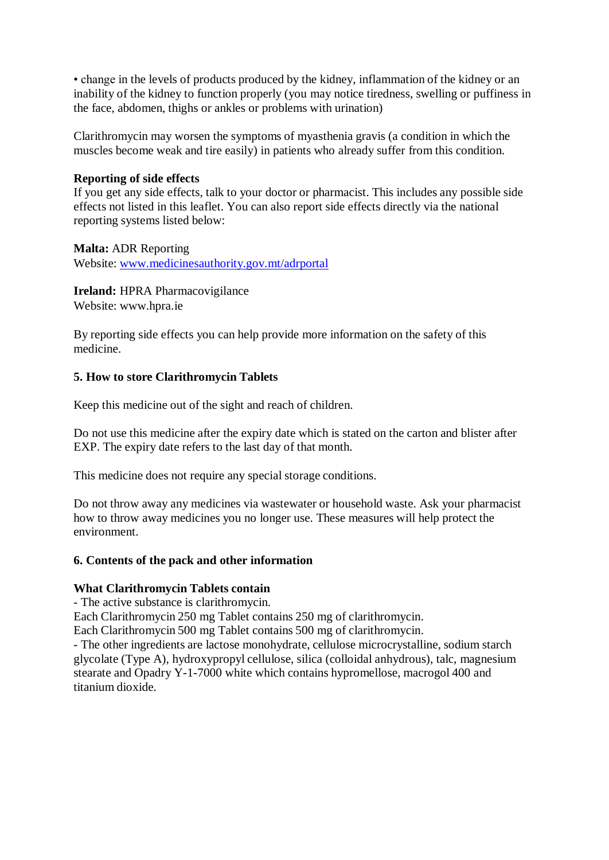• change in the levels of products produced by the kidney, inflammation of the kidney or an inability of the kidney to function properly (you may notice tiredness, swelling or puffiness in the face, abdomen, thighs or ankles or problems with urination)

Clarithromycin may worsen the symptoms of myasthenia gravis (a condition in which the muscles become weak and tire easily) in patients who already suffer from this condition.

#### **Reporting of side effects**

If you get any side effects, talk to your doctor or pharmacist. This includes any possible side effects not listed in this leaflet. You can also report side effects directly via the national reporting systems listed below:

#### **Malta:** ADR Reporting

Website: [www.medicinesauthority.gov.mt/adrportal](http://www.medicinesauthority.gov.mt/adrportal)

**Ireland:** HPRA Pharmacovigilance

Website: [www.hpra.ie](http://www.hpra.ie/) 

By reporting side effects you can help provide more information on the safety of this medicine.

# **5. How to store Clarithromycin Tablets**

Keep this medicine out of the sight and reach of children.

Do not use this medicine after the expiry date which is stated on the carton and blister after EXP. The expiry date refers to the last day of that month.

This medicine does not require any special storage conditions.

Do not throw away any medicines via wastewater or household waste. Ask your pharmacist how to throw away medicines you no longer use. These measures will help protect the environment.

# **6. Contents of the pack and other information**

# **What Clarithromycin Tablets contain**

- The active substance is clarithromycin.

Each Clarithromycin 250 mg Tablet contains 250 mg of clarithromycin.

Each Clarithromycin 500 mg Tablet contains 500 mg of clarithromycin.

- The other ingredients are lactose monohydrate, cellulose microcrystalline, sodium starch glycolate (Type A), hydroxypropyl cellulose, silica (colloidal anhydrous), talc, magnesium stearate and Opadry Y-1-7000 white which contains hypromellose, macrogol 400 and titanium dioxide.